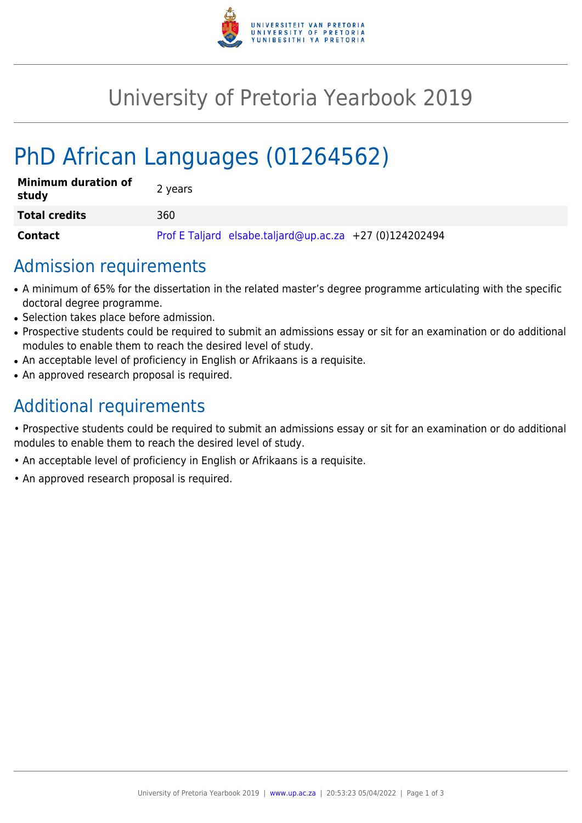

## University of Pretoria Yearbook 2019

# PhD African Languages (01264562)

| <b>Minimum duration of</b><br>study | 2 years                                                 |
|-------------------------------------|---------------------------------------------------------|
| <b>Total credits</b>                | 360.                                                    |
| <b>Contact</b>                      | Prof E Taljard elsabe.taljard@up.ac.za +27 (0)124202494 |

#### Admission requirements

- A minimum of 65% for the dissertation in the related master's degree programme articulating with the specific doctoral degree programme.
- Selection takes place before admission.
- Prospective students could be required to submit an admissions essay or sit for an examination or do additional modules to enable them to reach the desired level of study.
- An acceptable level of proficiency in English or Afrikaans is a requisite.
- An approved research proposal is required.

## Additional requirements

• Prospective students could be required to submit an admissions essay or sit for an examination or do additional modules to enable them to reach the desired level of study.

- An acceptable level of proficiency in English or Afrikaans is a requisite.
- An approved research proposal is required.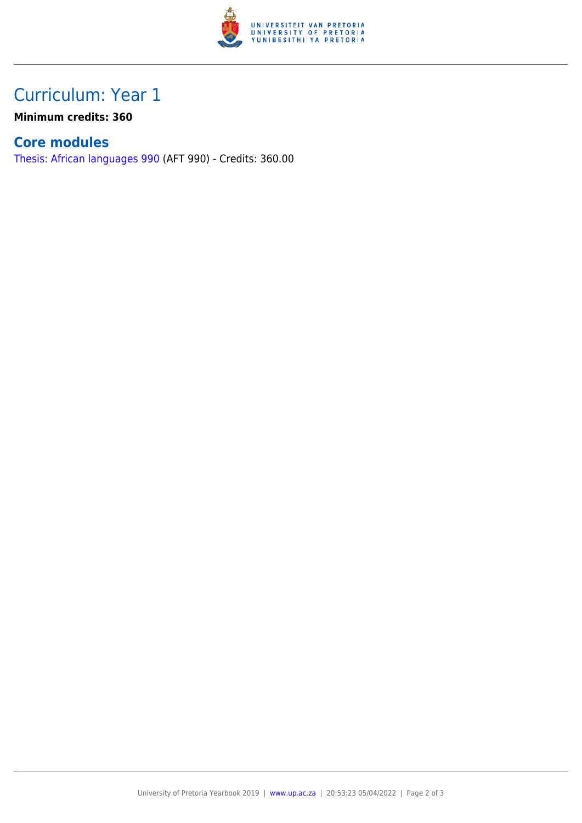

## Curriculum: Year 1

**Minimum credits: 360**

#### **Core modules**

[Thesis: African languages 990](https://www.up.ac.za/yearbooks/2019/modules/view/AFT 990) (AFT 990) - Credits: 360.00